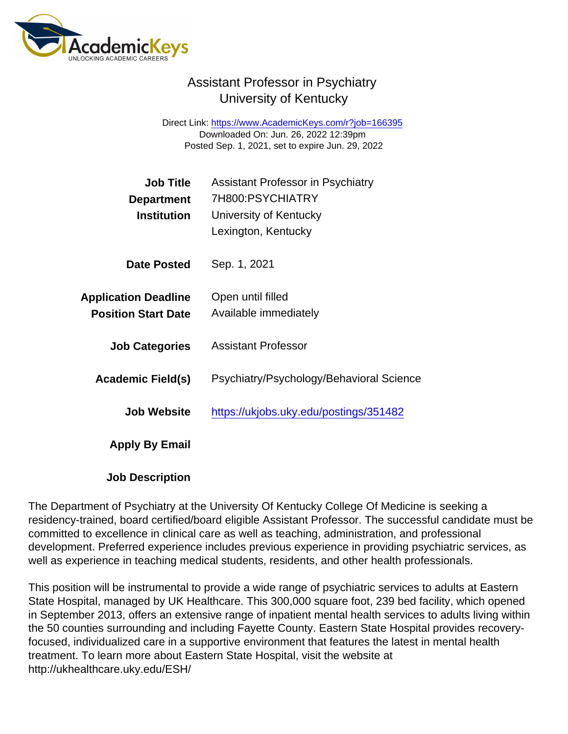## Assistant Professor in Psychiatry University of Kentucky

Direct Link: <https://www.AcademicKeys.com/r?job=166395> Downloaded On: Jun. 26, 2022 12:39pm Posted Sep. 1, 2021, set to expire Jun. 29, 2022

| <b>Job Title</b>            | <b>Assistant Professor in Psychiatry</b> |
|-----------------------------|------------------------------------------|
| Department                  | 7H800:PSYCHIATRY                         |
| Institution                 | University of Kentucky                   |
|                             | Lexington, Kentucky                      |
| Date Posted                 | Sep. 1, 2021                             |
| <b>Application Deadline</b> | Open until filled                        |
| <b>Position Start Date</b>  | Available immediately                    |
| <b>Job Categories</b>       | Assistant Professor                      |
| Academic Field(s)           | Psychiatry/Psychology/Behavioral Science |
| Job Website                 | https://ukjobs.uky.edu/postings/351482   |
| Apply By Email              |                                          |

Job Description

The Department of Psychiatry at the University Of Kentucky College Of Medicine is seeking a residency-trained, board certified/board eligible Assistant Professor. The successful candidate must be committed to excellence in clinical care as well as teaching, administration, and professional development. Preferred experience includes previous experience in providing psychiatric services, as well as experience in teaching medical students, residents, and other health professionals.

This position will be instrumental to provide a wide range of psychiatric services to adults at Eastern State Hospital, managed by UK Healthcare. This 300,000 square foot, 239 bed facility, which opened in September 2013, offers an extensive range of inpatient mental health services to adults living within the 50 counties surrounding and including Fayette County. Eastern State Hospital provides recoveryfocused, individualized care in a supportive environment that features the latest in mental health treatment. To learn more about Eastern State Hospital, visit the website at http://ukhealthcare.uky.edu/ESH/